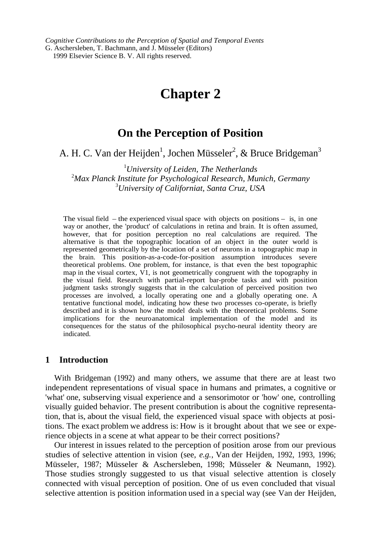# **Chapter 2**

# **On the Perception of Position**

A. H. C. Van der Heijden<sup>1</sup>, Jochen Müsseler<sup>2</sup>, & Bruce Bridgeman<sup>3</sup>

<sup>1</sup>*University of Leiden, The Netherlands* <sup>2</sup>*Max Planck Institute for Psychological Research, Munich, Germany* <sup>3</sup>*University of Californiat, Santa Cruz, USA*

The visual field – the experienced visual space with objects on positions – is, in one way or another, the 'product' of calculations in retina and brain. It is often assumed, however, that for position perception no real calculations are required. The alternative is that the topographic location of an object in the outer world is represented geometrically by the location of a set of neurons in a topographic map in the brain. This position-as-a-code-for-position assumption introduces severe theoretical problems. One problem, for instance, is that even the best topographic map in the visual cortex, V1, is not geometrically congruent with the topography in the visual field. Research with partial-report bar-probe tasks and with position judgment tasks strongly suggests that in the calculation of perceived position two processes are involved, a locally operating one and a globally operating one. A tentative functional model, indicating how these two processes co-operate, is briefly described and it is shown how the model deals with the theoretical problems. Some implications for the neuroanatomical implementation of the model and its consequences for the status of the philosophical psycho-neural identity theory are indicated.

# **1 Introduction**

With Bridgeman (1992) and many others, we assume that there are at least two independent representations of visual space in humans and primates, a cognitive or 'what' one, subserving visual experience and a sensorimotor or 'how' one, controlling visually guided behavior. The present contribution is about the cognitive representation, that is, about the visual field, the experienced visual space with objects at positions. The exact problem we address is: How is it brought about that we see or experience objects in a scene at what appear to be their correct positions?

Our interest in issues related to the perception of position arose from our previous studies of selective attention in vision (see, *e.g.*, Van der Heijden, 1992, 1993, 1996; Müsseler, 1987; Müsseler & Aschersleben, 1998; Müsseler & Neumann, 1992). Those studies strongly suggested to us that visual selective attention is closely connected with visual perception of position. One of us even concluded that visual selective attention is position information used in a special way (see Van der Heijden,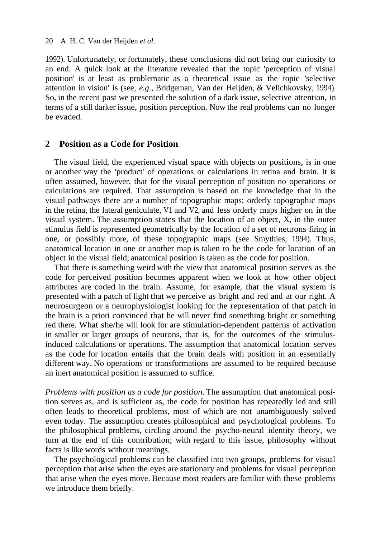1992). Unfortunately, or fortunately, these conclusions did not bring our curiosity to an end. A quick look at the literature revealed that the topic 'perception of visual position' is at least as problematic as a theoretical issue as the topic 'selective attention in vision' is (see, *e.g.*, Bridgeman, Van der Heijden, & Velichkovsky, 1994). So, in the recent past we presented the solution of a dark issue, selective attention, in terms of a still darker issue, position perception. Now the real problems can no longer be evaded.

## **2 Position as a Code for Position**

The visual field, the experienced visual space with objects on positions, is in one or another way the 'product' of operations or calculations in retina and brain. It is often assumed, however, that for the visual perception of position no operations or calculations are required. That assumption is based on the knowledge that in the visual pathways there are a number of topographic maps; orderly topographic maps in the retina, the lateral geniculate, V1 and V2, and less orderly maps higher on in the visual system. The assumption states that the location of an object, X, in the outer stimulus field is represented geometrically by the location of a set of neurons firing in one, or possibly more, of these topographic maps (see Smythies, 1994). Thus, anatomical location in one or another map is taken to be the code for location of an object in the visual field; anatomical position is taken as the code for position.

That there is something weird with the view that anatomical position serves as the code for perceived position becomes apparent when we look at how other object attributes are coded in the brain. Assume, for example, that the visual system is presented with a patch of light that we perceive as bright and red and at our right. A neurosurgeon or a neurophysiologist looking for the representation of that patch in the brain is a priori convinced that he will never find something bright or something red there. What she/he will look for are stimulation-dependent patterns of activation in smaller or larger groups of neurons, that is, for the outcomes of the stimulusinduced calculations or operations. The assumption that anatomical location serves as the code for location entails that the brain deals with position in an essentially different way. No operations or transformations are assumed to be required because an inert anatomical position is assumed to suffice.

*Problems with position as a code for position*. The assumption that anatomical position serves as, and is sufficient as, the code for position has repeatedly led and still often leads to theoretical problems, most of which are not unambiguously solved even today. The assumption creates philosophical and psychological problems. To the philosophical problems, circling around the psycho-neural identity theory, we turn at the end of this contribution; with regard to this issue, philosophy without facts is like words without meanings.

The psychological problems can be classified into two groups, problems for visual perception that arise when the eyes are stationary and problems for visual perception that arise when the eyes move. Because most readers are familiar with these problems we introduce them briefly.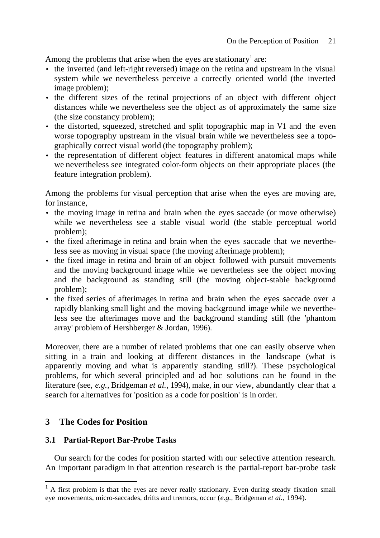Among the problems that arise when the eyes are stationary<sup>1</sup> are:

- the inverted (and left-right reversed) image on the retina and upstream in the visual system while we nevertheless perceive a correctly oriented world (the inverted image problem);
- the different sizes of the retinal projections of an object with different object distances while we nevertheless see the object as of approximately the same size (the size constancy problem);
- the distorted, squeezed, stretched and split topographic map in V1 and the even worse topography upstream in the visual brain while we nevertheless see a topographically correct visual world (the topography problem);
- the representation of different object features in different anatomical maps while we nevertheless see integrated color-form objects on their appropriate places (the feature integration problem).

Among the problems for visual perception that arise when the eyes are moving are, for instance,

- the moving image in retina and brain when the eyes saccade (or move otherwise) while we nevertheless see a stable visual world (the stable perceptual world problem);
- the fixed afterimage in retina and brain when the eyes saccade that we nevertheless see as moving in visual space (the moving afterimage problem);
- the fixed image in retina and brain of an object followed with pursuit movements and the moving background image while we nevertheless see the object moving and the background as standing still (the moving object-stable background problem);
- the fixed series of afterimages in retina and brain when the eyes saccade over a rapidly blanking small light and the moving background image while we nevertheless see the afterimages move and the background standing still (the 'phantom array' problem of Hershberger & Jordan, 1996).

Moreover, there are a number of related problems that one can easily observe when sitting in a train and looking at different distances in the landscape (what is apparently moving and what is apparently standing still?). These psychological problems, for which several principled and ad hoc solutions can be found in the literature (see, *e.g.*, Bridgeman *et al.*, 1994), make, in our view, abundantly clear that a search for alternatives for 'position as a code for position' is in order.

# **3 The Codes for Position**

l

# **3.1 Partial-Report Bar-Probe Tasks**

Our search for the codes for position started with our selective attention research. An important paradigm in that attention research is the partial-report bar-probe task

 $<sup>1</sup>$  A first problem is that the eyes are never really stationary. Even during steady fixation small</sup> eye movements, micro-saccades, drifts and tremors, occur (*e.g.*, Bridgeman *et al.*, 1994).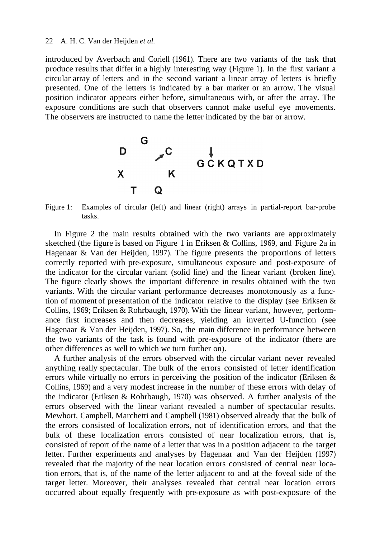introduced by Averbach and Coriell (1961). There are two variants of the task that produce results that differ in a highly interesting way (Figure 1). In the first variant a circular array of letters and in the second variant a linear array of letters is briefly presented. One of the letters is indicated by a bar marker or an arrow. The visual position indicator appears either before, simultaneous with, or after the array. The exposure conditions are such that observers cannot make useful eye movements. The observers are instructed to name the letter indicated by the bar or arrow.



Figure 1: Examples of circular (left) and linear (right) arrays in partial-report bar-probe tasks.

In Figure 2 the main results obtained with the two variants are approximately sketched (the figure is based on Figure 1 in Eriksen & Collins, 1969, and Figure 2a in Hagenaar & Van der Heijden, 1997). The figure presents the proportions of letters correctly reported with pre-exposure, simultaneous exposure and post-exposure of the indicator for the circular variant (solid line) and the linear variant (broken line). The figure clearly shows the important difference in results obtained with the two variants. With the circular variant performance decreases monotonously as a function of moment of presentation of the indicator relative to the display (see Eriksen & Collins, 1969; Eriksen & Rohrbaugh, 1970). With the linear variant, however, performance first increases and then decreases, yielding an inverted U-function (see Hagenaar & Van der Heijden, 1997). So, the main difference in performance between the two variants of the task is found with pre-exposure of the indicator (there are other differences as well to which we turn further on).

A further analysis of the errors observed with the circular variant never revealed anything really spectacular. The bulk of the errors consisted of letter identification errors while virtually no errors in perceiving the position of the indicator (Eriksen & Collins, 1969) and a very modest increase in the number of these errors with delay of the indicator (Eriksen & Rohrbaugh, 1970) was observed. A further analysis of the errors observed with the linear variant revealed a number of spectacular results. Mewhort, Campbell, Marchetti and Campbell (1981) observed already that the bulk of the errors consisted of localization errors, not of identification errors, and that the bulk of these localization errors consisted of near localization errors, that is, consisted of report of the name of a letter that was in a position adjacent to the target letter. Further experiments and analyses by Hagenaar and Van der Heijden (1997) revealed that the majority of the near location errors consisted of central near location errors, that is, of the name of the letter adjacent to and at the foveal side of the target letter. Moreover, their analyses revealed that central near location errors occurred about equally frequently with pre-exposure as with post-exposure of the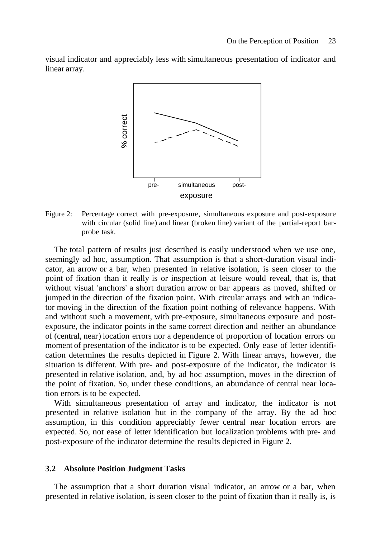visual indicator and appreciably less with simultaneous presentation of indicator and linear array.



Figure 2: Percentage correct with pre-exposure, simultaneous exposure and post-exposure with circular (solid line) and linear (broken line) variant of the partial-report barprobe task.

The total pattern of results just described is easily understood when we use one, seemingly ad hoc, assumption. That assumption is that a short-duration visual indicator, an arrow or a bar, when presented in relative isolation, is seen closer to the point of fixation than it really is or inspection at leisure would reveal, that is, that without visual 'anchors' a short duration arrow or bar appears as moved, shifted or jumped in the direction of the fixation point. With circular arrays and with an indicator moving in the direction of the fixation point nothing of relevance happens. With and without such a movement, with pre-exposure, simultaneous exposure and postexposure, the indicator points in the same correct direction and neither an abundance of (central, near) location errors nor a dependence of proportion of location errors on moment of presentation of the indicator is to be expected. Only ease of letter identification determines the results depicted in Figure 2. With linear arrays, however, the situation is different. With pre- and post-exposure of the indicator, the indicator is presented in relative isolation, and, by ad hoc assumption, moves in the direction of the point of fixation. So, under these conditions, an abundance of central near location errors is to be expected.

With simultaneous presentation of array and indicator, the indicator is not presented in relative isolation but in the company of the array. By the ad hoc assumption, in this condition appreciably fewer central near location errors are expected. So, not ease of letter identification but localization problems with pre- and post-exposure of the indicator determine the results depicted in Figure 2.

#### **3.2 Absolute Position Judgment Tasks**

The assumption that a short duration visual indicator, an arrow or a bar, when presented in relative isolation, is seen closer to the point of fixation than it really is, is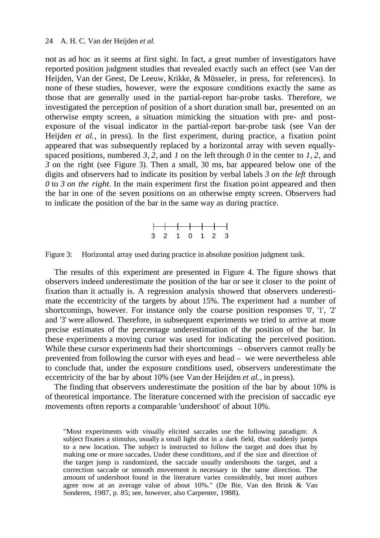not as ad hoc as it seems at first sight. In fact, a great number of investigators have reported position judgment studies that revealed exactly such an effect (see Van der Heijden, Van der Geest, De Leeuw, Krikke, & Müsseler, in press, for references). In none of these studies, however, were the exposure conditions exactly the same as those that are generally used in the partial-report bar-probe tasks. Therefore, we investigated the perception of position of a short duration small bar, presented on an otherwise empty screen, a situation mimicking the situation with pre- and postexposure of the visual indicator in the partial-report bar-probe task (see Van der Heijden *et al.*, in press). In the first experiment, during practice, a fixation point appeared that was subsequently replaced by a horizontal array with seven equallyspaced positions, numbered *3*, *2*, and *1* on the left through *0* in the center to *1*, *2*, and *3* on the right (see Figure 3). Then a small, 30 ms, bar appeared below one of the digits and observers had to indicate its position by verbal labels *3 on the left* through *0* to *3 on the right*. In the main experiment first the fixation point appeared and then the bar in one of the seven positions on an otherwise empty screen. Observers had to indicate the position of the bar in the same way as during practice.

> ┣<del>╾╊═┽═╋═╋═╋═</del>╉ 3 2 1 0 1 2 3



The results of this experiment are presented in Figure 4. The figure shows that observers indeed underestimate the position of the bar or see it closer to the point of fixation than it actually is. A regression analysis showed that observers underestimate the eccentricity of the targets by about 15%. The experiment had a number of shortcomings, however. For instance only the coarse position responses '0', '1', '2' and '3' were allowed. Therefore, in subsequent experiments we tried to arrive at more precise estimates of the percentage underestimation of the position of the bar. In these experiments a moving cursor was used for indicating the perceived position. While these cursor experiments had their shortcomings – observers cannot really be prevented from following the cursor with eyes and head – we were nevertheless able to conclude that, under the exposure conditions used, observers underestimate the eccentricity of the bar by about 10% (see Van der Heijden *et al.*, in press).

The finding that observers underestimate the position of the bar by about 10% is of theoretical importance. The literature concerned with the precision of saccadic eye movements often reports a comparable 'undershoot' of about 10%.

<sup>&</sup>quot;Most experiments with visually elicited saccades use the following paradigm: A subject fixates a stimulus, usually a small light dot in a dark field, that suddenly jumps to a new location. The subject is instructed to follow the target and does that by making one or more saccades. Under these conditions, and if the size and direction of the target jump is randomized, the saccade usually undershoots the target, and a correction saccade or smooth movement is necessary in the same direction. The amount of undershoot found in the literature varies considerably, but most authors agree now at an average value of about 10%." (De Bie, Van den Brink & Van Sonderen, 1987, p. 85; see, however, also Carpenter, 1988).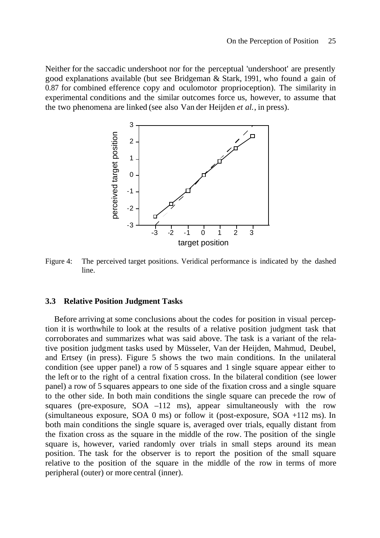Neither for the saccadic undershoot nor for the perceptual 'undershoot' are presently good explanations available (but see Bridgeman & Stark, 1991, who found a gain of 0.87 for combined efference copy and oculomotor proprioception). The similarity in experimental conditions and the similar outcomes force us, however, to assume that the two phenomena are linked (see also Van der Heijden *et al.*, in press).



Figure 4: The perceived target positions. Veridical performance is indicated by the dashed line.

#### **3.3 Relative Position Judgment Tasks**

Before arriving at some conclusions about the codes for position in visual perception it is worthwhile to look at the results of a relative position judgment task that corroborates and summarizes what was said above. The task is a variant of the relative position judgment tasks used by Müsseler, Van der Heijden, Mahmud, Deubel, and Ertsey (in press). Figure 5 shows the two main conditions. In the unilateral condition (see upper panel) a row of 5 squares and 1 single square appear either to the left or to the right of a central fixation cross. In the bilateral condition (see lower panel) a row of 5 squares appears to one side of the fixation cross and a single square to the other side. In both main conditions the single square can precede the row of squares (pre-exposure,  $SOA -112$  ms), appear simultaneously with the row (simultaneous exposure, SOA 0 ms) or follow it (post-exposure, SOA +112 ms). In both main conditions the single square is, averaged over trials, equally distant from the fixation cross as the square in the middle of the row. The position of the single square is, however, varied randomly over trials in small steps around its mean position. The task for the observer is to report the position of the small square relative to the position of the square in the middle of the row in terms of more peripheral (outer) or more central (inner).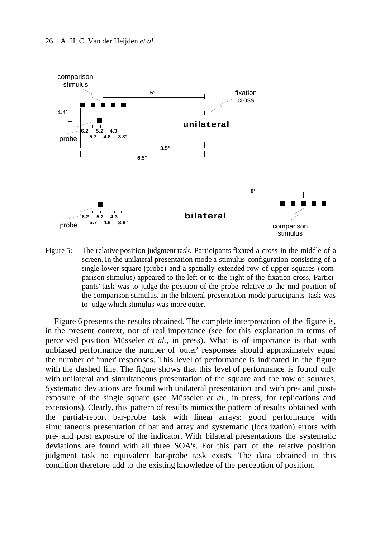

Figure 5: The relative position judgment task. Participants fixated a cross in the middle of a screen. In the unilateral presentation mode a stimulus configuration consisting of a single lower square (probe) and a spatially extended row of upper squares (comparison stimulus) appeared to the left or to the right of the fixation cross. Participants' task was to judge the position of the probe relative to the mid-position of the comparison stimulus. In the bilateral presentation mode participants' task was to judge which stimulus was more outer.

Figure 6 presents the results obtained. The complete interpretation of the figure is, in the present context, not of real importance (see for this explanation in terms of perceived position Müsseler *et al.*, in press). What is of importance is that with unbiased performance the number of 'outer' responses should approximately equal the number of 'inner' responses. This level of performance is indicated in the figure with the dashed line. The figure shows that this level of performance is found only with unilateral and simultaneous presentation of the square and the row of squares. Systematic deviations are found with unilateral presentation and with pre- and postexposure of the single square (see Müsseler *et al.*, in press, for replications and extensions). Clearly, this pattern of results mimics the pattern of results obtained with the partial-report bar-probe task with linear arrays: good performance with simultaneous presentation of bar and array and systematic (localization) errors with pre- and post exposure of the indicator. With bilateral presentations the systematic deviations are found with all three SOA's. For this part of the relative position judgment task no equivalent bar-probe task exists. The data obtained in this condition therefore add to the existing knowledge of the perception of position.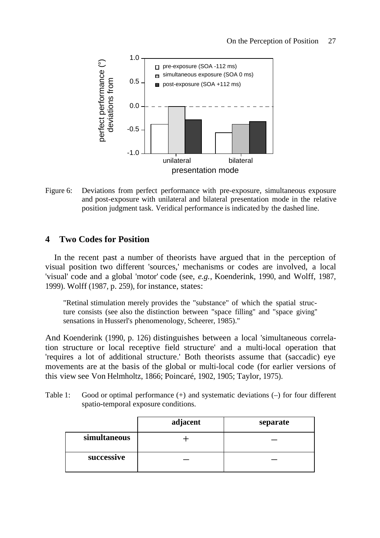

Figure 6: Deviations from perfect performance with pre-exposure, simultaneous exposure and post-exposure with unilateral and bilateral presentation mode in the relative position judgment task. Veridical performance is indicated by the dashed line.

# **4 Two Codes for Position**

In the recent past a number of theorists have argued that in the perception of visual position two different 'sources,' mechanisms or codes are involved, a local 'visual' code and a global 'motor' code (see, *e.g.*, Koenderink, 1990, and Wolff, 1987, 1999). Wolff (1987, p. 259), for instance, states:

"Retinal stimulation merely provides the "substance" of which the spatial structure consists (see also the distinction between "space filling" and "space giving" sensations in Husserl's phenomenology, Scheerer, 1985)."

And Koenderink (1990, p. 126) distinguishes between a local 'simultaneous correlation structure or local receptive field structure' and a multi-local operation that 'requires a lot of additional structure.' Both theorists assume that (saccadic) eye movements are at the basis of the global or multi-local code (for earlier versions of this view see Von Helmholtz, 1866; Poincaré, 1902, 1905; Taylor, 1975).

| Table 1: | Good or optimal performance $(+)$ and systematic deviations $(-)$ for four different |
|----------|--------------------------------------------------------------------------------------|
|          | spatio-temporal exposure conditions.                                                 |

|              | adjacent | separate |
|--------------|----------|----------|
| simultaneous |          |          |
| successive   |          |          |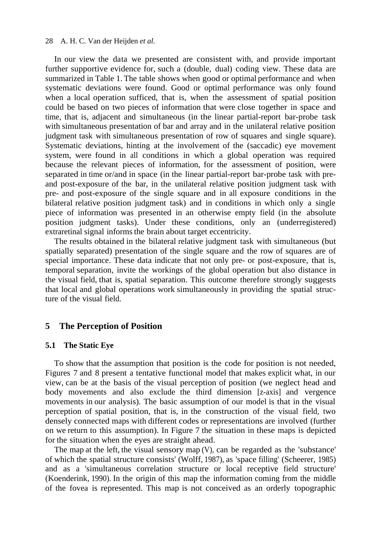In our view the data we presented are consistent with, and provide important further supportive evidence for, such a (double, dual) coding view. These data are summarized in Table 1. The table shows when good or optimal performance and when systematic deviations were found. Good or optimal performance was only found when a local operation sufficed, that is, when the assessment of spatial position could be based on two pieces of information that were close together in space and time, that is, adjacent and simultaneous (in the linear partial-report bar-probe task with simultaneous presentation of bar and array and in the unilateral relative position judgment task with simultaneous presentation of row of squares and single square). Systematic deviations, hinting at the involvement of the (saccadic) eye movement system, were found in all conditions in which a global operation was required because the relevant pieces of information, for the assessment of position, were separated in time or/and in space (in the linear partial-report bar-probe task with preand post-exposure of the bar, in the unilateral relative position judgment task with pre- and post-exposure of the single square and in all exposure conditions in the bilateral relative position judgment task) and in conditions in which only a single piece of information was presented in an otherwise empty field (in the absolute position judgment tasks). Under these conditions, only an (underregistered) extraretinal signal informs the brain about target eccentricity.

The results obtained in the bilateral relative judgment task with simultaneous (but spatially separated) presentation of the single square and the row of squares are of special importance. These data indicate that not only pre- or post-exposure, that is, temporal separation, invite the workings of the global operation but also distance in the visual field, that is, spatial separation. This outcome therefore strongly suggests that local and global operations work simultaneously in providing the spatial structure of the visual field.

# **5 The Perception of Position**

#### **5.1 The Static Eye**

To show that the assumption that position is the code for position is not needed, Figures 7 and 8 present a tentative functional model that makes explicit what, in our view, can be at the basis of the visual perception of position (we neglect head and body movements and also exclude the third dimension [z-axis] and vergence movements in our analysis). The basic assumption of our model is that in the visual perception of spatial position, that is, in the construction of the visual field, two densely connected maps with different codes or representations are involved (further on we return to this assumption). In Figure 7 the situation in these maps is depicted for the situation when the eyes are straight ahead.

The map at the left, the visual sensory map (V), can be regarded as the 'substance' of which the spatial structure consists' (Wolff, 1987), as 'space filling' (Scheerer, 1985) and as a 'simultaneous correlation structure or local receptive field structure' (Koenderink, 1990). In the origin of this map the information coming from the middle of the fovea is represented. This map is not conceived as an orderly topographic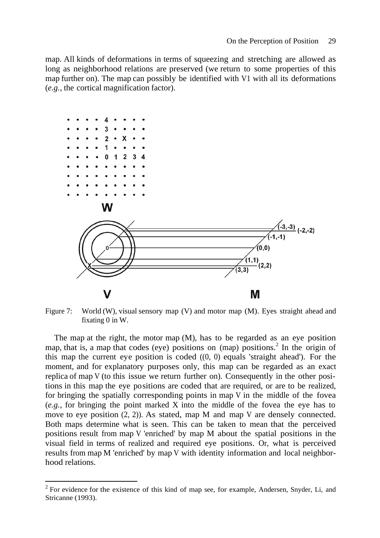map. All kinds of deformations in terms of squeezing and stretching are allowed as long as neighborhood relations are preserved (we return to some properties of this map further on). The map can possibly be identified with V1 with all its deformations (*e.g.*, the cortical magnification factor).



Figure 7: World (W), visual sensory map (V) and motor map (M). Eyes straight ahead and fixating 0 in W.

The map at the right, the motor map (M), has to be regarded as an eye position map, that is, a map that codes (eye) positions on (map) positions.<sup>2</sup> In the origin of this map the current eye position is coded  $(0, 0)$  equals 'straight ahead'). For the moment, and for explanatory purposes only, this map can be regarded as an exact replica of map V (to this issue we return further on). Consequently in the other positions in this map the eye positions are coded that are required, or are to be realized, for bringing the spatially corresponding points in map V in the middle of the fovea (*e.g.*, for bringing the point marked X into the middle of the fovea the eye has to move to eye position (2, 2)). As stated, map M and map V are densely connected. Both maps determine what is seen. This can be taken to mean that the perceived positions result from map V 'enriched' by map M about the spatial positions in the visual field in terms of realized and required eye positions. Or, what is perceived results from map M 'enriched' by map V with identity information and local neighborhood relations.

l

 $2^2$  For evidence for the existence of this kind of map see, for example, Andersen, Snyder, Li, and Stricanne (1993).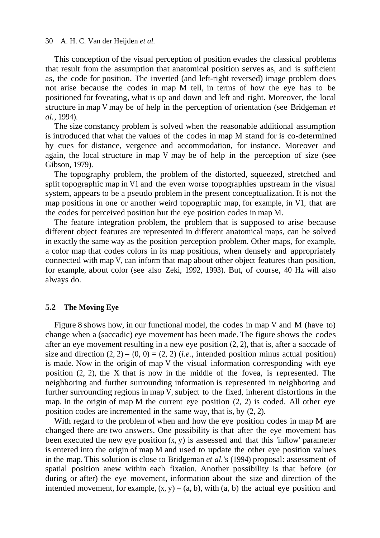This conception of the visual perception of position evades the classical problems that result from the assumption that anatomical position serves as, and is sufficient as, the code for position. The inverted (and left-right reversed) image problem does not arise because the codes in map M tell, in terms of how the eye has to be positioned for foveating, what is up and down and left and right. Moreover, the local structure in map V may be of help in the perception of orientation (see Bridgeman *et al.*, 1994).

The size constancy problem is solved when the reasonable additional assumption is introduced that what the values of the codes in map M stand for is co-determined by cues for distance, vergence and accommodation, for instance. Moreover and again, the local structure in map V may be of help in the perception of size (see Gibson, 1979).

The topography problem, the problem of the distorted, squeezed, stretched and split topographic map in V1 and the even worse topographies upstream in the visual system, appears to be a pseudo problem in the present conceptualization. It is not the map positions in one or another weird topographic map, for example, in V1, that are the codes for perceived position but the eye position codes in map M.

The feature integration problem, the problem that is supposed to arise because different object features are represented in different anatomical maps, can be solved in exactly the same way as the position perception problem. Other maps, for example, a color map that codes colors in its map positions, when densely and appropriately connected with map V, can inform that map about other object features than position, for example, about color (see also Zeki, 1992, 1993). But, of course, 40 Hz will also always do.

#### **5.2 The Moving Eye**

Figure 8 shows how, in our functional model, the codes in map V and M (have to) change when a (saccadic) eye movement has been made. The figure shows the codes after an eye movement resulting in a new eye position (2, 2), that is, after a saccade of size and direction  $(2, 2) - (0, 0) = (2, 2)$  (*i.e.*, intended position minus actual position) is made. Now in the origin of map V the visual information corresponding with eye position (2, 2), the X that is now in the middle of the fovea, is represented. The neighboring and further surrounding information is represented in neighboring and further surrounding regions in map V, subject to the fixed, inherent distortions in the map. In the origin of map M the current eye position (2, 2) is coded. All other eye position codes are incremented in the same way, that is, by (2, 2).

With regard to the problem of when and how the eye position codes in map M are changed there are two answers. One possibility is that after the eye movement has been executed the new eye position  $(x, y)$  is assessed and that this 'inflow' parameter is entered into the origin of map M and used to update the other eye position values in the map. This solution is close to Bridgeman *et al.*'s (1994) proposal: assessment of spatial position anew within each fixation. Another possibility is that before (or during or after) the eye movement, information about the size and direction of the intended movement, for example,  $(x, y) - (a, b)$ , with  $(a, b)$  the actual eye position and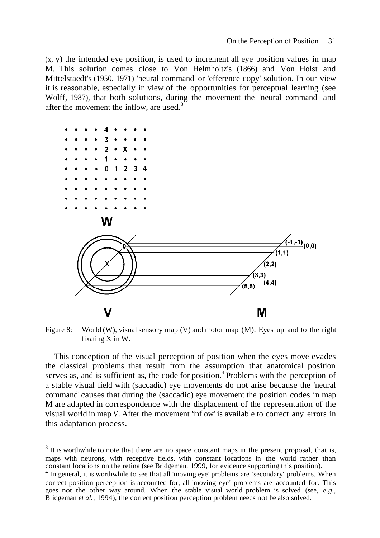(x, y) the intended eye position, is used to increment all eye position values in map M. This solution comes close to Von Helmholtz's (1866) and Von Holst and Mittelstaedt's (1950, 1971) 'neural command' or 'efference copy' solution. In our view it is reasonable, especially in view of the opportunities for perceptual learning (see Wolff, 1987), that both solutions, during the movement the 'neural command' and after the movement the inflow, are used.<sup>3</sup>



Figure 8: World (W), visual sensory map (V) and motor map (M). Eyes up and to the right fixating X in W.

This conception of the visual perception of position when the eyes move evades the classical problems that result from the assumption that anatomical position serves as, and is sufficient as, the code for position.<sup>4</sup> Problems with the perception of a stable visual field with (saccadic) eye movements do not arise because the 'neural command' causes that during the (saccadic) eye movement the position codes in map M are adapted in correspondence with the displacement of the representation of the visual world in map V. After the movement 'inflow' is available to correct any errors in this adaptation process.

l

 $3$  It is worthwhile to note that there are no space constant maps in the present proposal, that is, maps with neurons, with receptive fields, with constant locations in the world rather than constant locations on the retina (see Bridgeman, 1999, for evidence supporting this position).

<sup>&</sup>lt;sup>4</sup> In general, it is worthwhile to see that all 'moving eye' problems are 'secondary' problems. When correct position perception is accounted for, all 'moving eye' problems are accounted for. This goes not the other way around. When the stable visual world problem is solved (see, *e.g.*, Bridgeman *et al.*, 1994), the correct position perception problem needs not be also solved.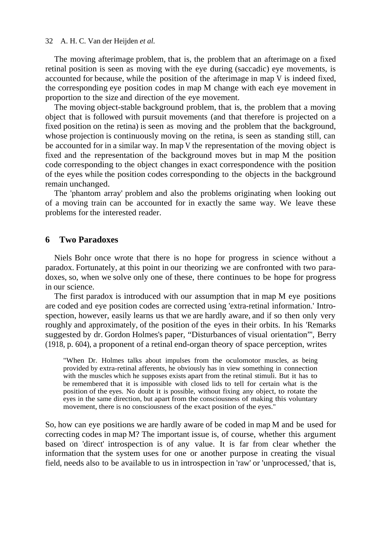The moving afterimage problem, that is, the problem that an afterimage on a fixed retinal position is seen as moving with the eye during (saccadic) eye movements, is accounted for because, while the position of the afterimage in map V is indeed fixed, the corresponding eye position codes in map M change with each eye movement in proportion to the size and direction of the eye movement.

The moving object-stable background problem, that is, the problem that a moving object that is followed with pursuit movements (and that therefore is projected on a fixed position on the retina) is seen as moving and the problem that the background, whose projection is continuously moving on the retina, is seen as standing still, can be accounted for in a similar way. In map V the representation of the moving object is fixed and the representation of the background moves but in map M the position code corresponding to the object changes in exact correspondence with the position of the eyes while the position codes corresponding to the objects in the background remain unchanged.

The 'phantom array' problem and also the problems originating when looking out of a moving train can be accounted for in exactly the same way. We leave these problems for the interested reader.

#### **6 Two Paradoxes**

Niels Bohr once wrote that there is no hope for progress in science without a paradox. Fortunately, at this point in our theorizing we are confronted with two paradoxes, so, when we solve only one of these, there continues to be hope for progress in our science.

The first paradox is introduced with our assumption that in map M eye positions are coded and eye position codes are corrected using 'extra-retinal information.' Introspection, however, easily learns us that we are hardly aware, and if so then only very roughly and approximately, of the position of the eyes in their orbits. In his 'Remarks suggested by dr. Gordon Holmes's paper, "Disturbances of visual orientation"', Berry (1918, p. 604), a proponent of a retinal end-organ theory of space perception, writes

"When Dr. Holmes talks about impulses from the oculomotor muscles, as being provided by extra-retinal afferents, he obviously has in view something in connection with the muscles which he supposes exists apart from the retinal stimuli. But it has to be remembered that it is impossible with closed lids to tell for certain what is the position of the eyes. No doubt it is possible, without fixing any object, to rotate the eyes in the same direction, but apart from the consciousness of making this voluntary movement, there is no consciousness of the exact position of the eyes."

So, how can eye positions we are hardly aware of be coded in map M and be used for correcting codes in map M? The important issue is, of course, whether this argument based on 'direct' introspection is of any value. It is far from clear whether the information that the system uses for one or another purpose in creating the visual field, needs also to be available to us in introspection in 'raw' or 'unprocessed,' that is,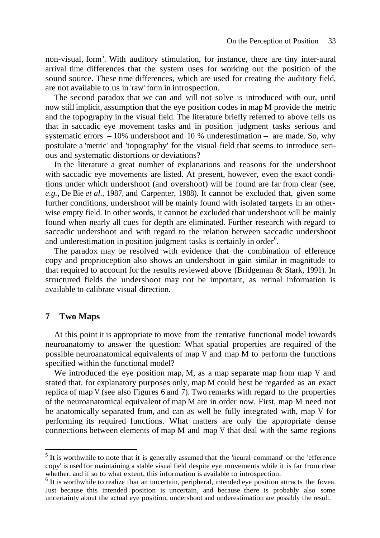non-visual, form<sup>5</sup>. With auditory stimulation, for instance, there are tiny inter-aural arrival time differences that the system uses for working out the position of the sound source. These time differences, which are used for creating the auditory field, are not available to us in 'raw' form in introspection.

The second paradox that we can and will not solve is introduced with our, until now still implicit, assumption that the eye position codes in map M provide the metric and the topography in the visual field. The literature briefly referred to above tells us that in saccadic eye movement tasks and in position judgment tasks serious and systematic errors – 10% undershoot and 10 % underestimation – are made. So, why postulate a 'metric' and 'topography' for the visual field that seems to introduce serious and systematic distortions or deviations?

In the literature a great number of explanations and reasons for the undershoot with saccadic eye movements are listed. At present, however, even the exact conditions under which undershoot (and overshoot) will be found are far from clear (see, *e.g.*, De Bie *et al.*, 1987, and Carpenter, 1988). It cannot be excluded that, given some further conditions, undershoot will be mainly found with isolated targets in an otherwise empty field. In other words, it cannot be excluded that undershoot will be mainly found when nearly all cues for depth are eliminated. Further research with regard to saccadic undershoot and with regard to the relation between saccadic undershoot and underestimation in position judgment tasks is certainly in order $6$ .

The paradox may be resolved with evidence that the combination of efference copy and proprioception also shows an undershoot in gain similar in magnitude to that required to account for the results reviewed above (Bridgeman & Stark, 1991). In structured fields the undershoot may not be important, as retinal information is available to calibrate visual direction.

# **7 Two Maps**

l

At this point it is appropriate to move from the tentative functional model towards neuroanatomy to answer the question: What spatial properties are required of the possible neuroanatomical equivalents of map V and map M to perform the functions specified within the functional model?

We introduced the eye position map, M, as a map separate map from map V and stated that, for explanatory purposes only, map M could best be regarded as an exact replica of map V (see also Figures 6 and 7). Two remarks with regard to the properties of the neuroanatomical equivalent of map M are in order now. First, map M need not be anatomically separated from, and can as well be fully integrated with, map V for performing its required functions. What matters are only the appropriate dense connections between elements of map M and map V that deal with the same regions

 $<sup>5</sup>$  It is worthwhile to note that it is generally assumed that the 'neural command' or the 'efference</sup> copy' is used for maintaining a stable visual field despite eye movements while it is far from clear whether, and if so to what extent, this information is available to introspection.

<sup>&</sup>lt;sup>6</sup> It is worthwhile to realize that an uncertain, peripheral, intended eye position attracts the fovea. Just because this intended position is uncertain, and because there is probably also some uncertainty about the actual eye position, undershoot and underestimation are possibly the result.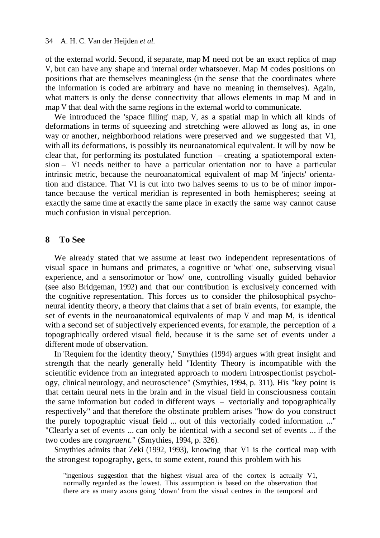of the external world. Second, if separate, map M need not be an exact replica of map V, but can have any shape and internal order whatsoever. Map M codes positions on positions that are themselves meaningless (in the sense that the coordinates where the information is coded are arbitrary and have no meaning in themselves). Again, what matters is only the dense connectivity that allows elements in map M and in map V that deal with the same regions in the external world to communicate.

We introduced the 'space filling' map, V, as a spatial map in which all kinds of deformations in terms of squeezing and stretching were allowed as long as, in one way or another, neighborhood relations were preserved and we suggested that V1, with all its deformations, is possibly its neuroanatomical equivalent. It will by now be clear that, for performing its postulated function – creating a spatiotemporal extension – V1 needs neither to have a particular orientation nor to have a particular intrinsic metric, because the neuroanatomical equivalent of map M 'injects' orientation and distance. That V1 is cut into two halves seems to us to be of minor importance because the vertical meridian is represented in both hemispheres; seeing at exactly the same time at exactly the same place in exactly the same way cannot cause much confusion in visual perception.

### **8 To See**

We already stated that we assume at least two independent representations of visual space in humans and primates, a cognitive or 'what' one, subserving visual experience, and a sensorimotor or 'how' one, controlling visually guided behavior (see also Bridgeman, 1992) and that our contribution is exclusively concerned with the cognitive representation. This forces us to consider the philosophical psychoneural identity theory, a theory that claims that a set of brain events, for example, the set of events in the neuroanatomical equivalents of map V and map M, is identical with a second set of subjectively experienced events, for example, the perception of a topographically ordered visual field, because it is the same set of events under a different mode of observation.

In 'Requiem for the identity theory,' Smythies (1994) argues with great insight and strength that the nearly generally held "Identity Theory is incompatible with the scientific evidence from an integrated approach to modern introspectionist psychology, clinical neurology, and neuroscience" (Smythies, 1994, p. 311). His "key point is that certain neural nets in the brain and in the visual field in consciousness contain the same information but coded in different ways – vectorially and topographically respectively" and that therefore the obstinate problem arises "how do you construct the purely topographic visual field ... out of this vectorially coded information ..." "Clearly a set of events ... can only be identical with a second set of events ... if the two codes are *congruent.*" (Smythies, 1994, p. 326).

Smythies admits that Zeki (1992, 1993), knowing that V1 is the cortical map with the strongest topography, gets, to some extent, round this problem with his

"ingenious suggestion that the highest visual area of the cortex is actually V1, normally regarded as the lowest. This assumption is based on the observation that there are as many axons going 'down' from the visual centres in the temporal and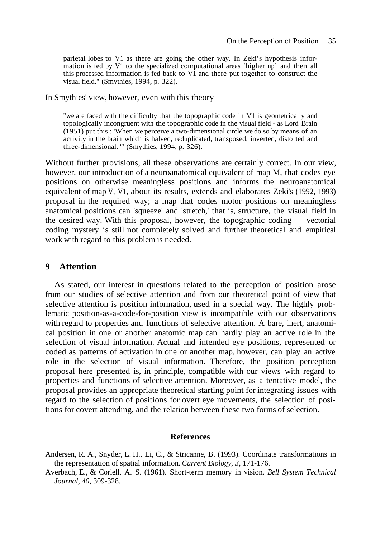parietal lobes to V1 as there are going the other way. In Zeki's hypothesis information is fed by V1 to the specialized computational areas 'higher up' and then all this processed information is fed back to V1 and there put together to construct the visual field." (Smythies, 1994, p. 322).

In Smythies' view, however, even with this theory

"we are faced with the difficulty that the topographic code in V1 is geometrically and topologically incongruent with the topographic code in the visual field - as Lord Brain (1951) put this : 'When we perceive a two-dimensional circle we do so by means of an activity in the brain which is halved, reduplicated, transposed, inverted, distorted and three-dimensional. '" (Smythies, 1994, p. 326).

Without further provisions, all these observations are certainly correct. In our view, however, our introduction of a neuroanatomical equivalent of map M, that codes eye positions on otherwise meaningless positions and informs the neuroanatomical equivalent of map V, V1, about its results, extends and elaborates Zeki's (1992, 1993) proposal in the required way; a map that codes motor positions on meaningless anatomical positions can 'squeeze' and 'stretch,' that is, structure, the visual field in the desired way. With this proposal, however, the topographic coding – vectorial coding mystery is still not completely solved and further theoretical and empirical work with regard to this problem is needed.

#### **9 Attention**

As stated, our interest in questions related to the perception of position arose from our studies of selective attention and from our theoretical point of view that selective attention is position information, used in a special way. The highly problematic position-as-a-code-for-position view is incompatible with our observations with regard to properties and functions of selective attention. A bare, inert, anatomical position in one or another anatomic map can hardly play an active role in the selection of visual information. Actual and intended eye positions, represented or coded as patterns of activation in one or another map, however, can play an active role in the selection of visual information. Therefore, the position perception proposal here presented is, in principle, compatible with our views with regard to properties and functions of selective attention. Moreover, as a tentative model, the proposal provides an appropriate theoretical starting point for integrating issues with regard to the selection of positions for overt eye movements, the selection of positions for covert attending, and the relation between these two forms of selection.

#### **References**

- Andersen, R. A., Snyder, L. H., Li, C., & Stricanne, B. (1993). Coordinate transformations in the representation of spatial information. *Current Biology, 3,* 171-176.
- Averbach, E., & Coriell, A. S. (1961). Short-term memory in vision. *Bell System Technical Journal, 40*, 309-328.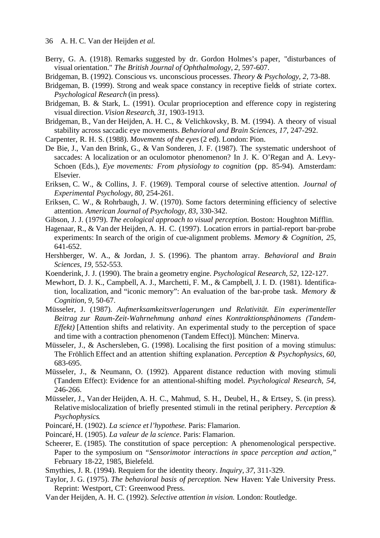- 36 A. H. C. Van der Heijden *et al.*
- Berry, G. A. (1918). Remarks suggested by dr. Gordon Holmes's paper, "disturbances of visual orientation." *The British Journal of Ophthalmology, 2,* 597-607.
- Bridgeman, B. (1992). Conscious vs. unconscious processes. *Theory & Psychology, 2,* 73-88.
- Bridgeman, B. (1999). Strong and weak space constancy in receptive fields of striate cortex. *Psychological Research* (in press)*.*
- Bridgeman, B. & Stark, L. (1991). Ocular proprioception and efference copy in registering visual direction. *Vision Research*, *31*, 1903-1913.
- Bridgeman, B., Van der Heijden, A. H. C., & Velichkovsky, B. M. (1994). A theory of visual stability across saccadic eye movements. *Behavioral and Brain Sciences, 17*, 247-292.
- Carpenter, R. H. S. (1988). *Movements of the eyes* (2 ed). London: Pion.
- De Bie, J., Van den Brink, G., & Van Sonderen, J. F. (1987). The systematic undershoot of saccades: A localization or an oculomotor phenomenon? In J. K. O'Regan and A. Levy-Schoen (Eds.), *Eye movements: From physiology to cognition* (pp. 85-94)*.* Amsterdam: Elsevier.
- Eriksen, C. W., & Collins, J. F. (1969). Temporal course of selective attention. *Journal of Experimental Psychology, 80,* 254-261.
- Eriksen, C. W., & Rohrbaugh, J. W. (1970). Some factors determining efficiency of selective attention. *American Journal of Psychology, 83*, 330-342.
- Gibson, J. J. (1979). *The ecological approach to visual perception.* Boston: Houghton Mifflin.
- Hagenaar, R., & Van der Heijden, A. H. C. (1997). Location errors in partial-report bar-probe experiments: In search of the origin of cue-alignment problems. *Memory & Cognition, 25,* 641-652.
- Hershberger, W. A., & Jordan, J. S. (1996). The phantom array. *Behavioral and Brain Sciences, 19,* 552-553.
- Koenderink, J. J. (1990). The brain a geometry engine. *Psychological Research, 52,* 122-127.
- Mewhort, D. J. K., Campbell, A. J., Marchetti, F. M., & Campbell, J. I. D. (1981). Identification, localization, and "iconic memory": An evaluation of the bar-probe task. *Memory & Cognition, 9*, 50-67.
- Müsseler, J. (1987). *Aufmerksamkeitsverlagerungen und Relativität. Ein experimenteller Beitrag zur Raum-Zeit-Wahrnehmung anhand eines Kontraktionsphänomens (Tandem-Effekt*) [Attention shifts and relativity. An experimental study to the perception of space and time with a contraction phenomenon (Tandem Effect)]*.* München: Minerva.
- Müsseler, J., & Aschersleben, G. (1998). Localising the first position of a moving stimulus: The Fröhlich Effect and an attention shifting explanation. *Perception & Psychophysics, 60,* 683-695.
- Müsseler, J., & Neumann, O. (1992). Apparent distance reduction with moving stimuli (Tandem Effect): Evidence for an attentional-shifting model. *Psychological Research, 54,* 246-266.
- Müsseler, J., Van der Heijden, A. H. C., Mahmud, S. H., Deubel, H., & Ertsey, S. (in press). Relative mislocalization of briefly presented stimuli in the retinal periphery. *Perception & Psychophysics*.
- Poincaré, H. (1902). *La science et l'hypothese.* Paris: Flamarion.
- Poincaré, H. (1905). *La valeur de la science*. Paris: Flamarion.
- Scheerer, E. (1985). The constitution of space perception: A phenomenological perspective. Paper to the symposium on *"Sensorimotor interactions in space perception and action,"* February 18-22, 1985, Bielefeld.
- Smythies, J. R. (1994). Requiem for the identity theory. *Inquiry, 37,* 311-329.
- Taylor, J. G. (1975). *The behavioral basis of perception.* New Haven: Yale University Press. Reprint: Westport, CT: Greenwood Press.
- Van der Heijden, A. H. C. (1992). *Selective attention in vision.* London: Routledge.